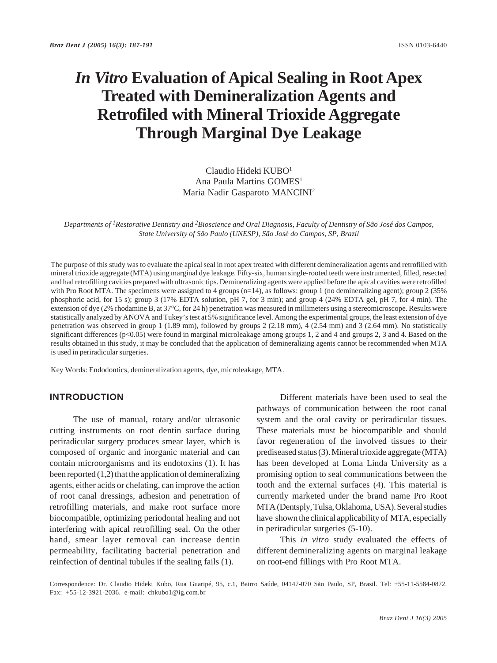# *In Vitro* **Evaluation of Apical Sealing in Root Apex Treated with Demineralization Agents and Retrofiled with Mineral Trioxide Aggregate Through Marginal Dye Leakage**

# Claudio Hideki KUBO1 Ana Paula Martins GOMES<sup>1</sup> Maria Nadir Gasparoto MANCINI2

*Departments of 1Restorative Dentistry and 2Bioscience and Oral Diagnosis, Faculty of Dentistry of São José dos Campos, State University of São Paulo (UNESP), São José do Campos, SP, Brazil*

The purpose of this study was to evaluate the apical seal in root apex treated with different demineralization agents and retrofilled with mineral trioxide aggregate (MTA) using marginal dye leakage. Fifty-six, human single-rooted teeth were instrumented, filled, resected and had retrofilling cavities prepared with ultrasonic tips. Demineralizing agents were applied before the apical cavities were retrofilled with Pro Root MTA. The specimens were assigned to 4 groups  $(n=14)$ , as follows: group 1 (no demineralizing agent); group 2 (35%) phosphoric acid, for 15 s); group 3 (17% EDTA solution, pH 7, for 3 min); and group 4 (24% EDTA gel, pH 7, for 4 min). The extension of dye (2% rhodamine B, at 37°C, for 24 h) penetration was measured in millimeters using a stereomicroscope. Results were statistically analyzed by ANOVA and Tukey's test at 5% significance level. Among the experimental groups, the least extension of dye penetration was observed in group 1 (1.89 mm), followed by groups 2 (2.18 mm), 4 (2.54 mm) and 3 (2.64 mm). No statistically significant differences (p<0.05) were found in marginal microleakage among groups 1, 2 and 4 and groups 2, 3 and 4. Based on the results obtained in this study, it may be concluded that the application of demineralizing agents cannot be recommended when MTA is used in periradicular surgeries.

Key Words: Endodontics, demineralization agents, dye, microleakage, MTA.

### **INTRODUCTION**

The use of manual, rotary and/or ultrasonic cutting instruments on root dentin surface during periradicular surgery produces smear layer, which is composed of organic and inorganic material and can contain microorganisms and its endotoxins (1). It has been reported (1,2) that the application of demineralizing agents, either acids or chelating, can improve the action of root canal dressings, adhesion and penetration of retrofilling materials, and make root surface more biocompatible, optimizing periodontal healing and not interfering with apical retrofilling seal. On the other hand, smear layer removal can increase dentin permeability, facilitating bacterial penetration and reinfection of dentinal tubules if the sealing fails (1).

Different materials have been used to seal the pathways of communication between the root canal system and the oral cavity or periradicular tissues. These materials must be biocompatible and should favor regeneration of the involved tissues to their prediseased status (3). Mineral trioxide aggregate (MTA) has been developed at Loma Linda University as a promising option to seal communications between the tooth and the external surfaces (4). This material is currently marketed under the brand name Pro Root MTA (Dentsply, Tulsa, Oklahoma, USA). Several studies have shown the clinical applicability of MTA, especially in periradicular surgeries (5-10).

This *in vitro* study evaluated the effects of different demineralizing agents on marginal leakage on root-end fillings with Pro Root MTA.

Correspondence: Dr. Claudio Hideki Kubo, Rua Guaripé, 95, c.1, Bairro Saúde, 04147-070 São Paulo, SP, Brasil. Tel: +55-11-5584-0872. Fax: +55-12-3921-2036. e-mail: chkubo1@ig.com.br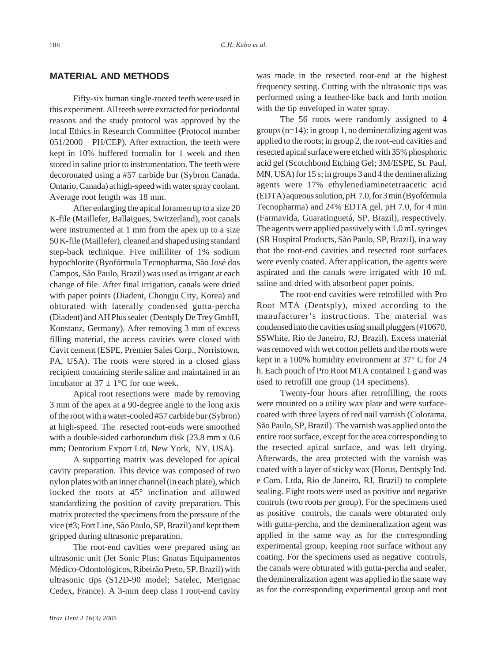# **MATERIAL AND METHODS**

Fifty-six human single-rooted teeth were used in this experiment. All teeth were extracted for periodontal reasons and the study protocol was approved by the local Ethics in Research Committee (Protocol number 051/2000 – PH/CEP). After extraction, the teeth were kept in 10% buffered formalin for 1 week and then stored in saline prior to instrumentation. The teeth were decoronated using a #57 carbide bur (Sybron Canada, Ontario, Canada) at high-speed with water spray coolant. Average root length was 18 mm.

After enlarging the apical foramen up to a size 20 K-file (Maillefer, Ballaigues, Switzerland), root canals were instrumented at 1 mm from the apex up to a size 50 K-file (Maillefer), cleaned and shaped using standard step-back technique. Five milliliter of 1% sodium hypochlorite (Byofórmula Tecnopharma, São José dos Campos, São Paulo, Brazil) was used as irrigant at each change of file. After final irrigation, canals were dried with paper points (Diadent, Chongju City, Korea) and obturated with laterally condensed gutta-percha (Diadent) and AH Plus sealer (Dentsply De Trey GmbH, Konstanz, Germany). After removing 3 mm of excess filling material, the access cavities were closed with Cavit cement (ESPE, Premier Sales Corp., Norristown, PA, USA). The roots were stored in a closed glass recipient containing sterile saline and maintained in an incubator at  $37 \pm 1$ °C for one week.

Apical root resections were made by removing 3 mm of the apex at a 90-degree angle to the long axis of the root with a water-cooled #57 carbide bur (Sybron) at high-speed. The resected root-ends were smoothed with a double-sided carborundum disk (23.8 mm x 0.6 mm; Dentorium Export Ltd, New York, NY, USA).

A supporting matrix was developed for apical cavity preparation. This device was composed of two nylon plates with an inner channel (in each plate), which locked the roots at 45° inclination and allowed standardizing the position of cavity preparation. This matrix protected the specimens from the pressure of the vice (#3; Fort Line, São Paulo, SP, Brazil) and kept them gripped during ultrasonic preparation.

The root-end cavities were prepared using an ultrasonic unit (Jet Sonic Plus; Gnatus Equipamentos Médico-Odontológicos, Ribeirão Preto, SP, Brazil) with ultrasonic tips (S12D-90 model; Satelec, Merignac Cedex, France). A 3-mm deep class I root-end cavity was made in the resected root-end at the highest frequency setting. Cutting with the ultrasonic tips was performed using a feather-like back and forth motion with the tip enveloped in water spray.

The 56 roots were randomly assigned to 4 groups (n=14): in group 1, no demineralizing agent was applied to the roots; in group 2, the root-end cavities and resected apical surface were etched with 35% phosphoric acid gel (Scotchbond Etching Gel; 3M/ESPE, St. Paul, MN, USA) for 15 s; in groups 3 and 4 the demineralizing agents were 17% ethylenediaminetetraacetic acid (EDTA) aqueous solution, pH 7.0, for 3 min (Byofórmula Tecnopharma) and 24% EDTA gel, pH 7.0, for 4 min (Farmavida, Guaratinguetá, SP, Brazil), respectively. The agents were applied passively with 1.0 mL syringes (SR Hospital Products, São Paulo, SP, Brazil), in a way that the root-end cavities and resected root surfaces were evenly coated. After application, the agents were aspirated and the canals were irrigated with 10 mL saline and dried with absorbent paper points.

The root-end cavities were retrofilled with Pro Root MTA (Dentsply), mixed according to the manufacturer's instructions. The material was condensed into the cavities using small pluggers (#10670, SSWhite, Rio de Janeiro, RJ, Brazil). Excess material was removed with wet cotton pellets and the roots were kept in a 100% humidity environment at 37° C for 24 h. Each pouch of Pro Root MTA contained 1 g and was used to retrofill one group (14 specimens).

Twenty-four hours after retrofilling, the roots were mounted on a utility wax plate and were surfacecoated with three layers of red nail varnish (Colorama, São Paulo, SP, Brazil). The varnish was applied onto the entire root surface, except for the area corresponding to the resected apical surface, and was left drying. Afterwards, the area protected with the varnish was coated with a layer of sticky wax (Horus, Dentsply Ind. e Com. Ltda, Rio de Janeiro, RJ, Brazil) to complete sealing. Eight roots were used as positive and negative controls (two roots *per* group). For the specimens used as positive controls, the canals were obturated only with gutta-percha, and the demineralization agent was applied in the same way as for the corresponding experimental group, keeping root surface without any coating. For the specimens used as negative controls, the canals were obturated with gutta-percha and sealer, the demineralization agent was applied in the same way as for the corresponding experimental group and root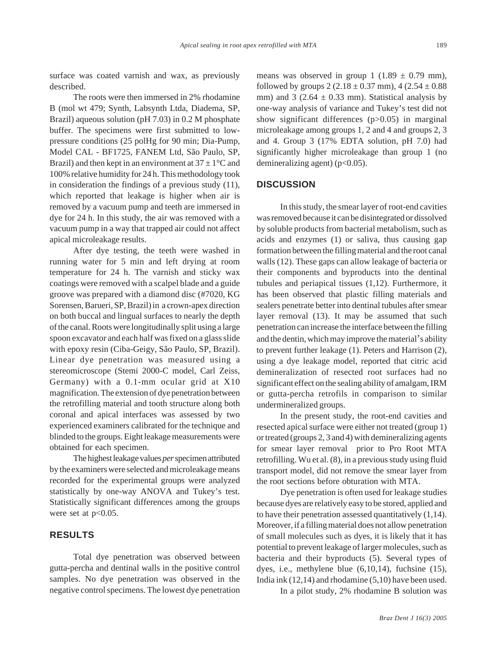surface was coated varnish and wax, as previously described.

The roots were then immersed in 2% rhodamine B (mol wt 479; Synth, Labsynth Ltda, Diadema, SP, Brazil) aqueous solution (pH 7.03) in 0.2 M phosphate buffer. The specimens were first submitted to lowpressure conditions (25 polHg for 90 min; Dia-Pump, Model CAL - BF1725, FANEM Ltd, São Paulo, SP, Brazil) and then kept in an environment at  $37 \pm 1$ °C and 100% relative humidity for 24 h. This methodology took in consideration the findings of a previous study (11), which reported that leakage is higher when air is removed by a vacuum pump and teeth are immersed in dye for 24 h. In this study, the air was removed with a vacuum pump in a way that trapped air could not affect apical microleakage results.

After dye testing, the teeth were washed in running water for 5 min and left drying at room temperature for 24 h. The varnish and sticky wax coatings were removed with a scalpel blade and a guide groove was prepared with a diamond disc (#7020, KG Sorensen, Barueri, SP, Brazil) in a crown-apex direction on both buccal and lingual surfaces to nearly the depth of the canal. Roots were longitudinally split using a large spoon excavator and each half was fixed on a glass slide with epoxy resin (Ciba-Geigy, São Paulo, SP, Brazil). Linear dye penetration was measured using a stereomicroscope (Stemi 2000-C model, Carl Zeiss, Germany) with a 0.1-mm ocular grid at X10 magnification. The extension of dye penetration between the retrofilling material and tooth structure along both coronal and apical interfaces was assessed by two experienced examiners calibrated for the technique and blinded to the groups. Eight leakage measurements were obtained for each specimen.

The highest leakage values *per* specimen attributed by the examiners were selected and microleakage means recorded for the experimental groups were analyzed statistically by one-way ANOVA and Tukey's test. Statistically significant differences among the groups were set at  $p<0.05$ .

# **RESULTS**

Total dye penetration was observed between gutta-percha and dentinal walls in the positive control samples. No dye penetration was observed in the negative control specimens. The lowest dye penetration means was observed in group 1 (1.89  $\pm$  0.79 mm), followed by groups  $2$  (2.18  $\pm$  0.37 mm), 4 (2.54  $\pm$  0.88 mm) and 3 (2.64  $\pm$  0.33 mm). Statistical analysis by one-way analysis of variance and Tukey's test did not show significant differences (p>0.05) in marginal microleakage among groups 1, 2 and 4 and groups 2, 3 and 4. Group 3 (17% EDTA solution, pH 7.0) had significantly higher microleakage than group 1 (no demineralizing agent)  $(p<0.05)$ .

# **DISCUSSION**

In this study, the smear layer of root-end cavities was removed because it can be disintegrated or dissolved by soluble products from bacterial metabolism, such as acids and enzymes (1) or saliva, thus causing gap formation between the filling material and the root canal walls (12). These gaps can allow leakage of bacteria or their components and byproducts into the dentinal tubules and periapical tissues (1,12). Furthermore, it has been observed that plastic filling materials and sealers penetrate better into dentinal tubules after smear layer removal (13). It may be assumed that such penetration can increase the interface between the filling and the dentin, which may improve the material's ability to prevent further leakage (1). Peters and Harrison (2), using a dye leakage model, reported that citric acid demineralization of resected root surfaces had no significant effect on the sealing ability of amalgam, IRM or gutta-percha retrofils in comparison to similar undermineralized groups.

In the present study, the root-end cavities and resected apical surface were either not treated (group 1) or treated (groups 2, 3 and 4) with demineralizing agents for smear layer removal prior to Pro Root MTA retrofilling. Wu et al. (8), in a previous study using fluid transport model, did not remove the smear layer from the root sections before obturation with MTA.

Dye penetration is often used for leakage studies because dyes are relatively easy to be stored, applied and to have their penetration assessed quantitatively (1,14). Moreover, if a filling material does not allow penetration of small molecules such as dyes, it is likely that it has potential to prevent leakage of larger molecules, such as bacteria and their byproducts (5). Several types of dyes, i.e., methylene blue (6,10,14), fuchsine (15), India ink (12,14) and rhodamine (5,10) have been used.

In a pilot study, 2% rhodamine B solution was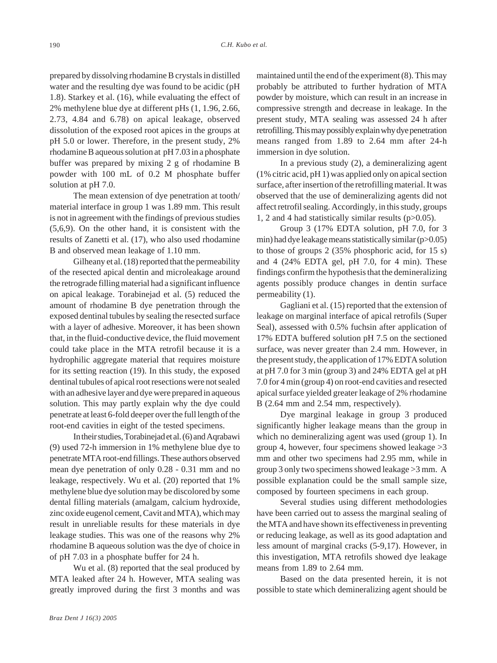prepared by dissolving rhodamine B crystals in distilled water and the resulting dye was found to be acidic (pH 1.8). Starkey et al. (16), while evaluating the effect of 2% methylene blue dye at different pHs (1, 1.96, 2.66, 2.73, 4.84 and 6.78) on apical leakage, observed dissolution of the exposed root apices in the groups at pH 5.0 or lower. Therefore, in the present study, 2% rhodamine B aqueous solution at pH 7.03 in a phosphate buffer was prepared by mixing 2 g of rhodamine B powder with 100 mL of 0.2 M phosphate buffer solution at pH 7.0.

The mean extension of dye penetration at tooth/ material interface in group 1 was 1.89 mm. This result is not in agreement with the findings of previous studies (5,6,9). On the other hand, it is consistent with the results of Zanetti et al. (17), who also used rhodamine B and observed mean leakage of 1.10 mm.

Gilheany et al. (18) reported that the permeability of the resected apical dentin and microleakage around the retrograde filling material had a significant influence on apical leakage. Torabinejad et al. (5) reduced the amount of rhodamine B dye penetration through the exposed dentinal tubules by sealing the resected surface with a layer of adhesive. Moreover, it has been shown that, in the fluid-conductive device, the fluid movement could take place in the MTA retrofil because it is a hydrophilic aggregate material that requires moisture for its setting reaction (19). In this study, the exposed dentinal tubules of apical root resections were not sealed with an adhesive layer and dye were prepared in aqueous solution. This may partly explain why the dye could penetrate at least 6-fold deeper over the full length of the root-end cavities in eight of the tested specimens.

In their studies, Torabinejad et al. (6) and Aqrabawi (9) used 72-h immersion in 1% methylene blue dye to penetrate MTA root-end fillings. These authors observed mean dye penetration of only 0.28 - 0.31 mm and no leakage, respectively. Wu et al. (20) reported that 1% methylene blue dye solution may be discolored by some dental filling materials (amalgam, calcium hydroxide, zinc oxide eugenol cement, Cavit and MTA), which may result in unreliable results for these materials in dye leakage studies. This was one of the reasons why 2% rhodamine B aqueous solution was the dye of choice in of pH 7.03 in a phosphate buffer for 24 h.

Wu et al. (8) reported that the seal produced by MTA leaked after 24 h. However, MTA sealing was greatly improved during the first 3 months and was maintained until the end of the experiment (8). This may probably be attributed to further hydration of MTA powder by moisture, which can result in an increase in compressive strength and decrease in leakage. In the present study, MTA sealing was assessed 24 h after retrofilling. This may possibly explain why dye penetration means ranged from 1.89 to 2.64 mm after 24-h immersion in dye solution.

In a previous study (2), a demineralizing agent (1% citric acid, pH 1) was applied only on apical section surface, after insertion of the retrofilling material. It was observed that the use of demineralizing agents did not affect retrofil sealing. Accordingly, in this study, groups 1, 2 and 4 had statistically similar results (p>0.05).

Group 3 (17% EDTA solution, pH 7.0, for 3 min) had dye leakage means statistically similar (p>0.05) to those of groups 2 (35% phosphoric acid, for 15 s) and 4 (24% EDTA gel, pH 7.0, for 4 min). These findings confirm the hypothesis that the demineralizing agents possibly produce changes in dentin surface permeability (1).

Gagliani et al. (15) reported that the extension of leakage on marginal interface of apical retrofils (Super Seal), assessed with 0.5% fuchsin after application of 17% EDTA buffered solution pH 7.5 on the sectioned surface, was never greater than 2.4 mm. However, in the present study, the application of 17% EDTA solution at pH 7.0 for 3 min (group 3) and 24% EDTA gel at pH 7.0 for 4 min (group 4) on root-end cavities and resected apical surface yielded greater leakage of 2% rhodamine B (2.64 mm and 2.54 mm, respectively).

Dye marginal leakage in group 3 produced significantly higher leakage means than the group in which no demineralizing agent was used (group 1). In group 4, however, four specimens showed leakage >3 mm and other two specimens had 2.95 mm, while in group 3 only two specimens showed leakage >3 mm. A possible explanation could be the small sample size, composed by fourteen specimens in each group.

Several studies using different methodologies have been carried out to assess the marginal sealing of the MTA and have shown its effectiveness in preventing or reducing leakage, as well as its good adaptation and less amount of marginal cracks (5-9,17). However, in this investigation, MTA retrofils showed dye leakage means from 1.89 to 2.64 mm.

Based on the data presented herein, it is not possible to state which demineralizing agent should be